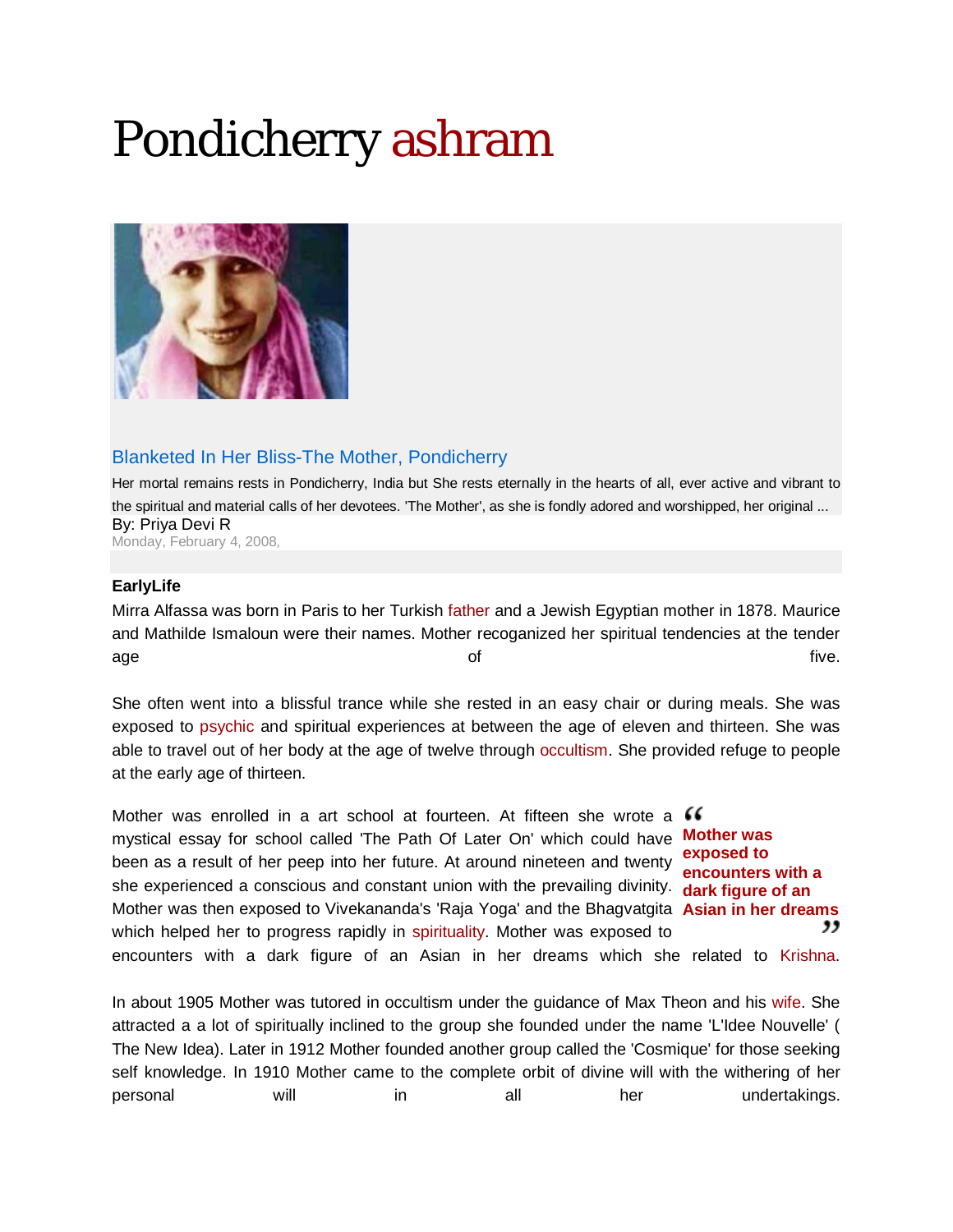# Pondicherry ashram



## Blanketed In Her Bliss-The Mother, Pondicherry

Her mortal remains rests in Pondicherry, India but She rests eternally in the hearts of all, ever active and vibrant to the spiritual and material calls of her devotees. 'The Mother', as she is fondly adored and worshipped, her original ... By: Priya Devi R Monday, February 4, 2008,

#### **EarlyLife**

Mirra Alfassa was born in Paris to her Turkish father and a Jewish Egyptian mother in 1878. Maurice and Mathilde Ismaloun were their names. Mother recoganized her spiritual tendencies at the tender age and the five. The five and the five and the five and the five and the five and the five and the five and t

She often went into a blissful trance while she rested in an easy chair or during meals. She was exposed to psychic and spiritual experiences at between the age of eleven and thirteen. She was able to travel out of her body at the age of twelve through occultism. She provided refuge to people at the early age of thirteen.

Mother was enrolled in a art school at fourteen. At fifteen she wrote a  $\mathcal G$ mystical essay for school called 'The Path Of Later On' which could have **Mother was**  been as a result of her peep into her future. At around nineteen and twenty she experienced a conscious and constant union with the prevailing divinity. **dark figure of an**  Mother was then exposed to Vivekananda's 'Raja Yoga' and the Bhagvatgita **Asian in her dreams** which helped her to progress rapidly in spirituality. Mother was exposed to encounters with a dark figure of an Asian in her dreams which she related to Krishna. **exposed to encounters with a** 

In about 1905 Mother was tutored in occultism under the guidance of Max Theon and his wife. She attracted a a lot of spiritually inclined to the group she founded under the name 'L'Idee Nouvelle' ( The New Idea). Later in 1912 Mother founded another group called the 'Cosmique' for those seeking self knowledge. In 1910 Mother came to the complete orbit of divine will with the withering of her personal will in all her undertakings.